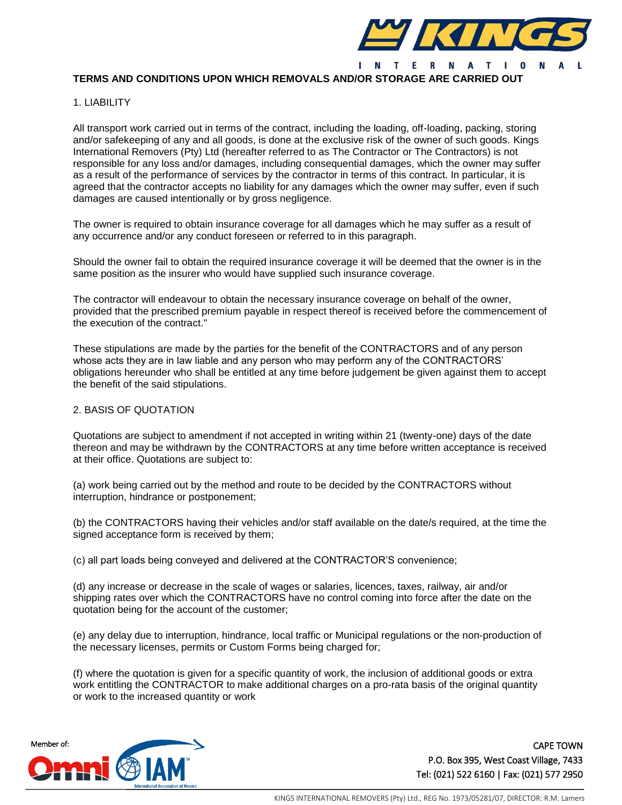

# **TERMS AND CONDITIONS UPON WHICH REMOVALS AND/OR STORAGE ARE CARRIED OUT**

#### 1. LIABILITY

All transport work carried out in terms of the contract, including the loading, off-loading, packing, storing and/or safekeeping of any and all goods, is done at the exclusive risk of the owner of such goods. Kings International Removers (Pty) Ltd (hereafter referred to as The Contractor or The Contractors) is not responsible for any loss and/or damages, including consequential damages, which the owner may suffer as a result of the performance of services by the contractor in terms of this contract. In particular, it is agreed that the contractor accepts no liability for any damages which the owner may suffer, even if such damages are caused intentionally or by gross negligence.

The owner is required to obtain insurance coverage for all damages which he may suffer as a result of any occurrence and/or any conduct foreseen or referred to in this paragraph.

Should the owner fail to obtain the required insurance coverage it will be deemed that the owner is in the same position as the insurer who would have supplied such insurance coverage.

The contractor will endeavour to obtain the necessary insurance coverage on behalf of the owner, provided that the prescribed premium payable in respect thereof is received before the commencement of the execution of the contract."

These stipulations are made by the parties for the benefit of the CONTRACTORS and of any person whose acts they are in law liable and any person who may perform any of the CONTRACTORS' obligations hereunder who shall be entitled at any time before judgement be given against them to accept the benefit of the said stipulations.

## 2. BASIS OF QUOTATION

Quotations are subject to amendment if not accepted in writing within 21 (twenty-one) days of the date thereon and may be withdrawn by the CONTRACTORS at any time before written acceptance is received at their office. Quotations are subject to:

(a) work being carried out by the method and route to be decided by the CONTRACTORS without interruption, hindrance or postponement;

(b) the CONTRACTORS having their vehicles and/or staff available on the date/s required, at the time the signed acceptance form is received by them;

(c) all part loads being conveyed and delivered at the CONTRACTOR'S convenience;

(d) any increase or decrease in the scale of wages or salaries, licences, taxes, railway, air and/or shipping rates over which the CONTRACTORS have no control coming into force after the date on the quotation being for the account of the customer;

(e) any delay due to interruption, hindrance, local traffic or Municipal regulations or the non-production of the necessary licenses, permits or Custom Forms being charged for;

(f) where the quotation is given for a specific quantity of work, the inclusion of additional goods or extra work entitling the CONTRACTOR to make additional charges on a pro-rata basis of the original quantity or work to the increased quantity or work

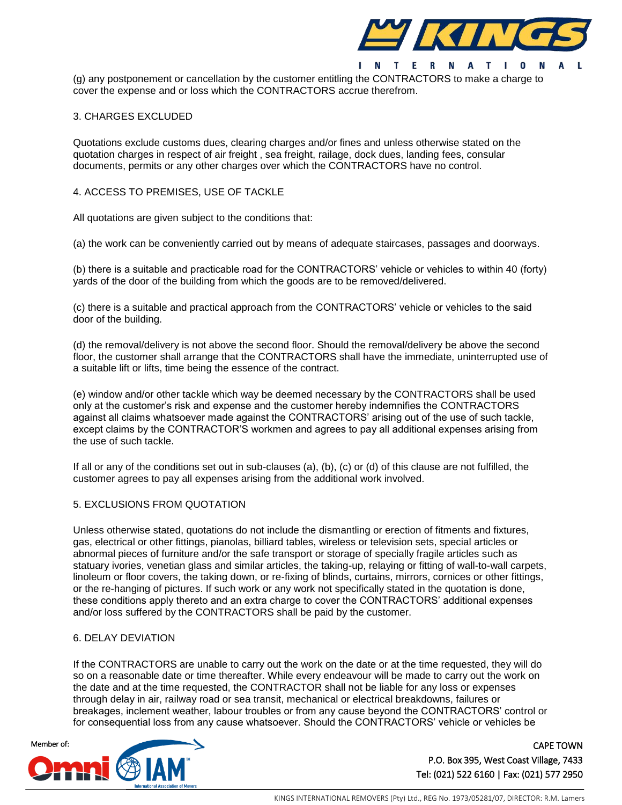

(g) any postponement or cancellation by the customer entitling the CONTRACTORS to make a charge to cover the expense and or loss which the CONTRACTORS accrue therefrom.

### 3. CHARGES EXCLUDED

Quotations exclude customs dues, clearing charges and/or fines and unless otherwise stated on the quotation charges in respect of air freight , sea freight, railage, dock dues, landing fees, consular documents, permits or any other charges over which the CONTRACTORS have no control.

## 4. ACCESS TO PREMISES, USE OF TACKLE

All quotations are given subject to the conditions that:

(a) the work can be conveniently carried out by means of adequate staircases, passages and doorways.

(b) there is a suitable and practicable road for the CONTRACTORS' vehicle or vehicles to within 40 (forty) yards of the door of the building from which the goods are to be removed/delivered.

(c) there is a suitable and practical approach from the CONTRACTORS' vehicle or vehicles to the said door of the building.

(d) the removal/delivery is not above the second floor. Should the removal/delivery be above the second floor, the customer shall arrange that the CONTRACTORS shall have the immediate, uninterrupted use of a suitable lift or lifts, time being the essence of the contract.

(e) window and/or other tackle which way be deemed necessary by the CONTRACTORS shall be used only at the customer's risk and expense and the customer hereby indemnifies the CONTRACTORS against all claims whatsoever made against the CONTRACTORS' arising out of the use of such tackle, except claims by the CONTRACTOR'S workmen and agrees to pay all additional expenses arising from the use of such tackle.

If all or any of the conditions set out in sub-clauses (a), (b), (c) or (d) of this clause are not fulfilled, the customer agrees to pay all expenses arising from the additional work involved.

# 5. EXCLUSIONS FROM QUOTATION

Unless otherwise stated, quotations do not include the dismantling or erection of fitments and fixtures, gas, electrical or other fittings, pianolas, billiard tables, wireless or television sets, special articles or abnormal pieces of furniture and/or the safe transport or storage of specially fragile articles such as statuary ivories, venetian glass and similar articles, the taking-up, relaying or fitting of wall-to-wall carpets, linoleum or floor covers, the taking down, or re-fixing of blinds, curtains, mirrors, cornices or other fittings, or the re-hanging of pictures. If such work or any work not specifically stated in the quotation is done, these conditions apply thereto and an extra charge to cover the CONTRACTORS' additional expenses and/or loss suffered by the CONTRACTORS shall be paid by the customer.

#### 6. DELAY DEVIATION

If the CONTRACTORS are unable to carry out the work on the date or at the time requested, they will do so on a reasonable date or time thereafter. While every endeavour will be made to carry out the work on the date and at the time requested, the CONTRACTOR shall not be liable for any loss or expenses through delay in air, railway road or sea transit, mechanical or electrical breakdowns, failures or breakages, inclement weather, labour troubles or from any cause beyond the CONTRACTORS' control or for consequential loss from any cause whatsoever. Should the CONTRACTORS' vehicle or vehicles be

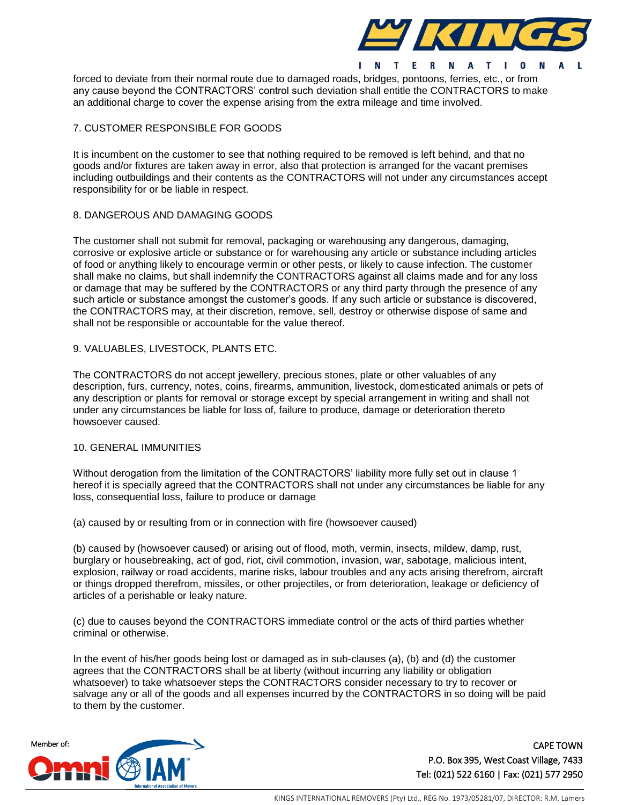

forced to deviate from their normal route due to damaged roads, bridges, pontoons, ferries, etc., or from any cause beyond the CONTRACTORS' control such deviation shall entitle the CONTRACTORS to make an additional charge to cover the expense arising from the extra mileage and time involved.

# 7. CUSTOMER RESPONSIBLE FOR GOODS

It is incumbent on the customer to see that nothing required to be removed is left behind, and that no goods and/or fixtures are taken away in error, also that protection is arranged for the vacant premises including outbuildings and their contents as the CONTRACTORS will not under any circumstances accept responsibility for or be liable in respect.

# 8. DANGEROUS AND DAMAGING GOODS

The customer shall not submit for removal, packaging or warehousing any dangerous, damaging, corrosive or explosive article or substance or for warehousing any article or substance including articles of food or anything likely to encourage vermin or other pests, or likely to cause infection. The customer shall make no claims, but shall indemnify the CONTRACTORS against all claims made and for any loss or damage that may be suffered by the CONTRACTORS or any third party through the presence of any such article or substance amongst the customer's goods. If any such article or substance is discovered, the CONTRACTORS may, at their discretion, remove, sell, destroy or otherwise dispose of same and shall not be responsible or accountable for the value thereof.

## 9. VALUABLES, LIVESTOCK, PLANTS ETC.

The CONTRACTORS do not accept jewellery, precious stones, plate or other valuables of any description, furs, currency, notes, coins, firearms, ammunition, livestock, domesticated animals or pets of any description or plants for removal or storage except by special arrangement in writing and shall not under any circumstances be liable for loss of, failure to produce, damage or deterioration thereto howsoever caused.

#### 10. GENERAL IMMUNITIES

Without derogation from the limitation of the CONTRACTORS' liability more fully set out in clause 1 hereof it is specially agreed that the CONTRACTORS shall not under any circumstances be liable for any loss, consequential loss, failure to produce or damage

(a) caused by or resulting from or in connection with fire (howsoever caused)

(b) caused by (howsoever caused) or arising out of flood, moth, vermin, insects, mildew, damp, rust, burglary or housebreaking, act of god, riot, civil commotion, invasion, war, sabotage, malicious intent, explosion, railway or road accidents, marine risks, labour troubles and any acts arising therefrom, aircraft or things dropped therefrom, missiles, or other projectiles, or from deterioration, leakage or deficiency of articles of a perishable or leaky nature.

(c) due to causes beyond the CONTRACTORS immediate control or the acts of third parties whether criminal or otherwise.

In the event of his/her goods being lost or damaged as in sub-clauses (a), (b) and (d) the customer agrees that the CONTRACTORS shall be at liberty (without incurring any liability or obligation whatsoever) to take whatsoever steps the CONTRACTORS consider necessary to try to recover or salvage any or all of the goods and all expenses incurred by the CONTRACTORS in so doing will be paid to them by the customer.

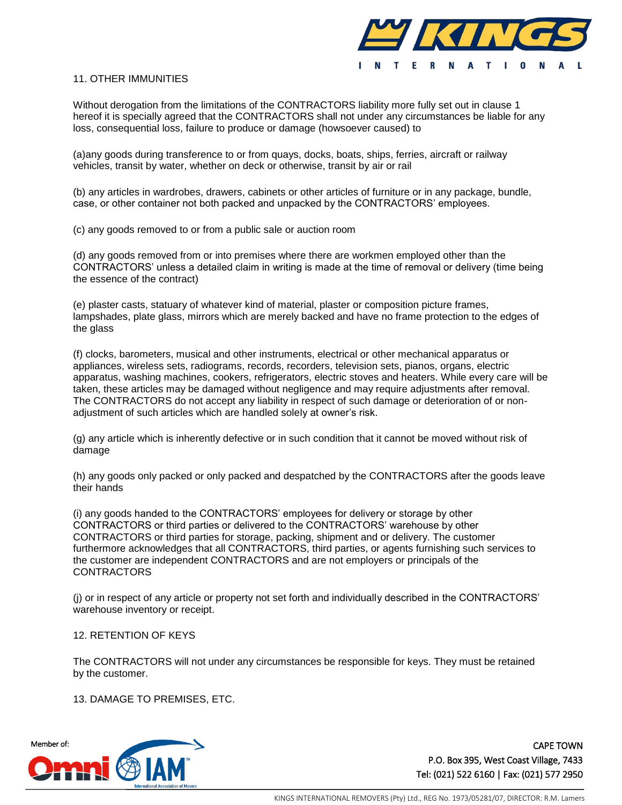

### 11. OTHER IMMUNITIES

Without derogation from the limitations of the CONTRACTORS liability more fully set out in clause 1 hereof it is specially agreed that the CONTRACTORS shall not under any circumstances be liable for any loss, consequential loss, failure to produce or damage (howsoever caused) to

(a)any goods during transference to or from quays, docks, boats, ships, ferries, aircraft or railway vehicles, transit by water, whether on deck or otherwise, transit by air or rail

(b) any articles in wardrobes, drawers, cabinets or other articles of furniture or in any package, bundle, case, or other container not both packed and unpacked by the CONTRACTORS' employees.

(c) any goods removed to or from a public sale or auction room

(d) any goods removed from or into premises where there are workmen employed other than the CONTRACTORS' unless a detailed claim in writing is made at the time of removal or delivery (time being the essence of the contract)

(e) plaster casts, statuary of whatever kind of material, plaster or composition picture frames, lampshades, plate glass, mirrors which are merely backed and have no frame protection to the edges of the glass

(f) clocks, barometers, musical and other instruments, electrical or other mechanical apparatus or appliances, wireless sets, radiograms, records, recorders, television sets, pianos, organs, electric apparatus, washing machines, cookers, refrigerators, electric stoves and heaters. While every care will be taken, these articles may be damaged without negligence and may require adjustments after removal. The CONTRACTORS do not accept any liability in respect of such damage or deterioration of or nonadjustment of such articles which are handled solely at owner's risk.

(g) any article which is inherently defective or in such condition that it cannot be moved without risk of damage

(h) any goods only packed or only packed and despatched by the CONTRACTORS after the goods leave their hands

(i) any goods handed to the CONTRACTORS' employees for delivery or storage by other CONTRACTORS or third parties or delivered to the CONTRACTORS' warehouse by other CONTRACTORS or third parties for storage, packing, shipment and or delivery. The customer furthermore acknowledges that all CONTRACTORS, third parties, or agents furnishing such services to the customer are independent CONTRACTORS and are not employers or principals of the **CONTRACTORS** 

(j) or in respect of any article or property not set forth and individually described in the CONTRACTORS' warehouse inventory or receipt.

#### 12. RETENTION OF KEYS

The CONTRACTORS will not under any circumstances be responsible for keys. They must be retained by the customer.

13. DAMAGE TO PREMISES, ETC.

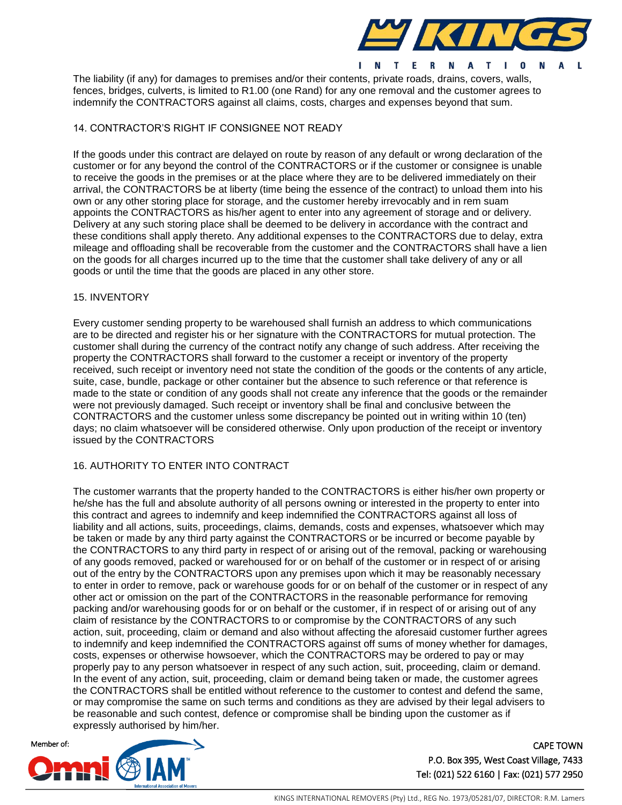

The liability (if any) for damages to premises and/or their contents, private roads, drains, covers, walls, fences, bridges, culverts, is limited to R1.00 (one Rand) for any one removal and the customer agrees to indemnify the CONTRACTORS against all claims, costs, charges and expenses beyond that sum.

# 14. CONTRACTOR'S RIGHT IF CONSIGNEE NOT READY

If the goods under this contract are delayed on route by reason of any default or wrong declaration of the customer or for any beyond the control of the CONTRACTORS or if the customer or consignee is unable to receive the goods in the premises or at the place where they are to be delivered immediately on their arrival, the CONTRACTORS be at liberty (time being the essence of the contract) to unload them into his own or any other storing place for storage, and the customer hereby irrevocably and in rem suam appoints the CONTRACTORS as his/her agent to enter into any agreement of storage and or delivery. Delivery at any such storing place shall be deemed to be delivery in accordance with the contract and these conditions shall apply thereto. Any additional expenses to the CONTRACTORS due to delay, extra mileage and offloading shall be recoverable from the customer and the CONTRACTORS shall have a lien on the goods for all charges incurred up to the time that the customer shall take delivery of any or all goods or until the time that the goods are placed in any other store.

#### 15. INVENTORY

Every customer sending property to be warehoused shall furnish an address to which communications are to be directed and register his or her signature with the CONTRACTORS for mutual protection. The customer shall during the currency of the contract notify any change of such address. After receiving the property the CONTRACTORS shall forward to the customer a receipt or inventory of the property received, such receipt or inventory need not state the condition of the goods or the contents of any article, suite, case, bundle, package or other container but the absence to such reference or that reference is made to the state or condition of any goods shall not create any inference that the goods or the remainder were not previously damaged. Such receipt or inventory shall be final and conclusive between the CONTRACTORS and the customer unless some discrepancy be pointed out in writing within 10 (ten) days; no claim whatsoever will be considered otherwise. Only upon production of the receipt or inventory issued by the CONTRACTORS

# 16. AUTHORITY TO ENTER INTO CONTRACT

The customer warrants that the property handed to the CONTRACTORS is either his/her own property or he/she has the full and absolute authority of all persons owning or interested in the property to enter into this contract and agrees to indemnify and keep indemnified the CONTRACTORS against all loss of liability and all actions, suits, proceedings, claims, demands, costs and expenses, whatsoever which may be taken or made by any third party against the CONTRACTORS or be incurred or become payable by the CONTRACTORS to any third party in respect of or arising out of the removal, packing or warehousing of any goods removed, packed or warehoused for or on behalf of the customer or in respect of or arising out of the entry by the CONTRACTORS upon any premises upon which it may be reasonably necessary to enter in order to remove, pack or warehouse goods for or on behalf of the customer or in respect of any other act or omission on the part of the CONTRACTORS in the reasonable performance for removing packing and/or warehousing goods for or on behalf or the customer, if in respect of or arising out of any claim of resistance by the CONTRACTORS to or compromise by the CONTRACTORS of any such action, suit, proceeding, claim or demand and also without affecting the aforesaid customer further agrees to indemnify and keep indemnified the CONTRACTORS against off sums of money whether for damages, costs, expenses or otherwise howsoever, which the CONTRACTORS may be ordered to pay or may properly pay to any person whatsoever in respect of any such action, suit, proceeding, claim or demand. In the event of any action, suit, proceeding, claim or demand being taken or made, the customer agrees the CONTRACTORS shall be entitled without reference to the customer to contest and defend the same, or may compromise the same on such terms and conditions as they are advised by their legal advisers to be reasonable and such contest, defence or compromise shall be binding upon the customer as if expressly authorised by him/her.

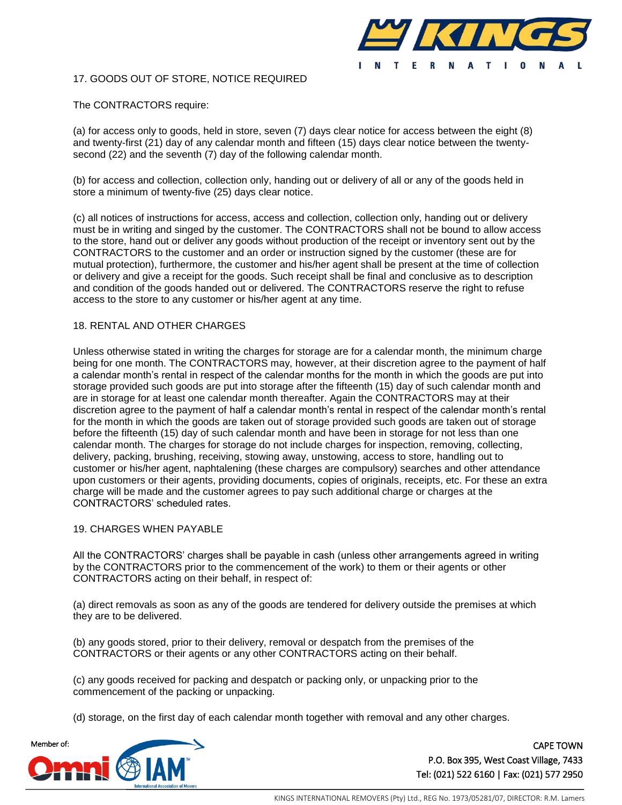

## 17. GOODS OUT OF STORE, NOTICE REQUIRED

### The CONTRACTORS require:

(a) for access only to goods, held in store, seven (7) days clear notice for access between the eight (8) and twenty-first (21) day of any calendar month and fifteen (15) days clear notice between the twentysecond (22) and the seventh (7) day of the following calendar month.

(b) for access and collection, collection only, handing out or delivery of all or any of the goods held in store a minimum of twenty-five (25) days clear notice.

(c) all notices of instructions for access, access and collection, collection only, handing out or delivery must be in writing and singed by the customer. The CONTRACTORS shall not be bound to allow access to the store, hand out or deliver any goods without production of the receipt or inventory sent out by the CONTRACTORS to the customer and an order or instruction signed by the customer (these are for mutual protection), furthermore, the customer and his/her agent shall be present at the time of collection or delivery and give a receipt for the goods. Such receipt shall be final and conclusive as to description and condition of the goods handed out or delivered. The CONTRACTORS reserve the right to refuse access to the store to any customer or his/her agent at any time.

### 18. RENTAL AND OTHER CHARGES

Unless otherwise stated in writing the charges for storage are for a calendar month, the minimum charge being for one month. The CONTRACTORS may, however, at their discretion agree to the payment of half a calendar month's rental in respect of the calendar months for the month in which the goods are put into storage provided such goods are put into storage after the fifteenth (15) day of such calendar month and are in storage for at least one calendar month thereafter. Again the CONTRACTORS may at their discretion agree to the payment of half a calendar month's rental in respect of the calendar month's rental for the month in which the goods are taken out of storage provided such goods are taken out of storage before the fifteenth (15) day of such calendar month and have been in storage for not less than one calendar month. The charges for storage do not include charges for inspection, removing, collecting, delivery, packing, brushing, receiving, stowing away, unstowing, access to store, handling out to customer or his/her agent, naphtalening (these charges are compulsory) searches and other attendance upon customers or their agents, providing documents, copies of originals, receipts, etc. For these an extra charge will be made and the customer agrees to pay such additional charge or charges at the CONTRACTORS' scheduled rates.

#### 19. CHARGES WHEN PAYABLE

All the CONTRACTORS' charges shall be payable in cash (unless other arrangements agreed in writing by the CONTRACTORS prior to the commencement of the work) to them or their agents or other CONTRACTORS acting on their behalf, in respect of:

(a) direct removals as soon as any of the goods are tendered for delivery outside the premises at which they are to be delivered.

(b) any goods stored, prior to their delivery, removal or despatch from the premises of the CONTRACTORS or their agents or any other CONTRACTORS acting on their behalf.

(c) any goods received for packing and despatch or packing only, or unpacking prior to the commencement of the packing or unpacking.

(d) storage, on the first day of each calendar month together with removal and any other charges.

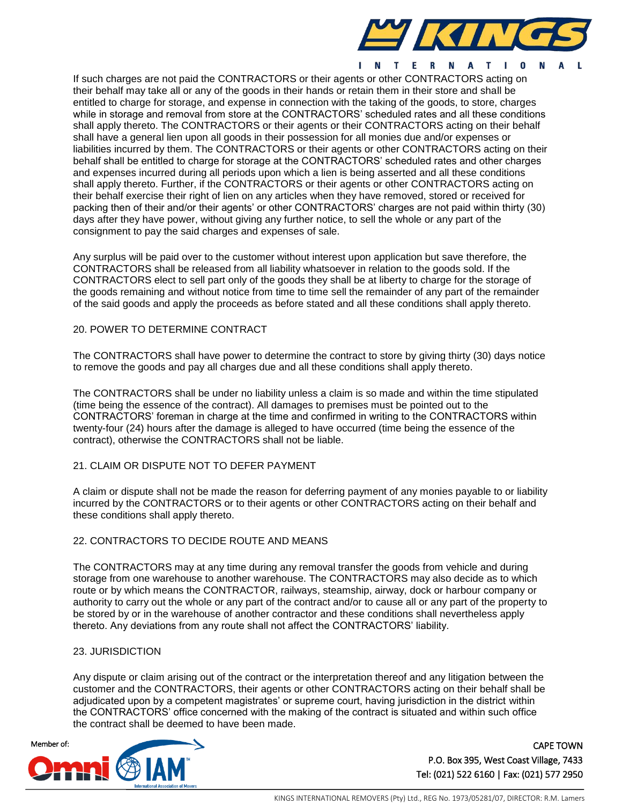

If such charges are not paid the CONTRACTORS or their agents or other CONTRACTORS acting on their behalf may take all or any of the goods in their hands or retain them in their store and shall be entitled to charge for storage, and expense in connection with the taking of the goods, to store, charges while in storage and removal from store at the CONTRACTORS' scheduled rates and all these conditions shall apply thereto. The CONTRACTORS or their agents or their CONTRACTORS acting on their behalf shall have a general lien upon all goods in their possession for all monies due and/or expenses or liabilities incurred by them. The CONTRACTORS or their agents or other CONTRACTORS acting on their behalf shall be entitled to charge for storage at the CONTRACTORS' scheduled rates and other charges and expenses incurred during all periods upon which a lien is being asserted and all these conditions shall apply thereto. Further, if the CONTRACTORS or their agents or other CONTRACTORS acting on their behalf exercise their right of lien on any articles when they have removed, stored or received for packing then of their and/or their agents' or other CONTRACTORS' charges are not paid within thirty (30) days after they have power, without giving any further notice, to sell the whole or any part of the consignment to pay the said charges and expenses of sale.

Any surplus will be paid over to the customer without interest upon application but save therefore, the CONTRACTORS shall be released from all liability whatsoever in relation to the goods sold. If the CONTRACTORS elect to sell part only of the goods they shall be at liberty to charge for the storage of the goods remaining and without notice from time to time sell the remainder of any part of the remainder of the said goods and apply the proceeds as before stated and all these conditions shall apply thereto.

## 20. POWER TO DETERMINE CONTRACT

The CONTRACTORS shall have power to determine the contract to store by giving thirty (30) days notice to remove the goods and pay all charges due and all these conditions shall apply thereto.

The CONTRACTORS shall be under no liability unless a claim is so made and within the time stipulated (time being the essence of the contract). All damages to premises must be pointed out to the CONTRACTORS' foreman in charge at the time and confirmed in writing to the CONTRACTORS within twenty-four (24) hours after the damage is alleged to have occurred (time being the essence of the contract), otherwise the CONTRACTORS shall not be liable.

#### 21. CLAIM OR DISPUTE NOT TO DEFER PAYMENT

A claim or dispute shall not be made the reason for deferring payment of any monies payable to or liability incurred by the CONTRACTORS or to their agents or other CONTRACTORS acting on their behalf and these conditions shall apply thereto.

#### 22. CONTRACTORS TO DECIDE ROUTE AND MEANS

The CONTRACTORS may at any time during any removal transfer the goods from vehicle and during storage from one warehouse to another warehouse. The CONTRACTORS may also decide as to which route or by which means the CONTRACTOR, railways, steamship, airway, dock or harbour company or authority to carry out the whole or any part of the contract and/or to cause all or any part of the property to be stored by or in the warehouse of another contractor and these conditions shall nevertheless apply thereto. Any deviations from any route shall not affect the CONTRACTORS' liability.

#### 23. JURISDICTION

Any dispute or claim arising out of the contract or the interpretation thereof and any litigation between the customer and the CONTRACTORS, their agents or other CONTRACTORS acting on their behalf shall be adjudicated upon by a competent magistrates' or supreme court, having jurisdiction in the district within the CONTRACTORS' office concerned with the making of the contract is situated and within such office the contract shall be deemed to have been made.

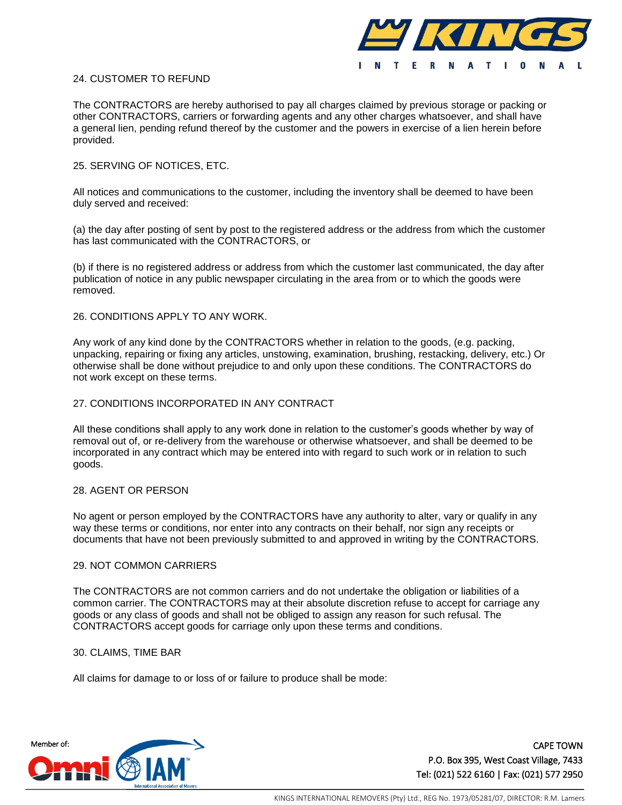

## 24. CUSTOMER TO REFUND

The CONTRACTORS are hereby authorised to pay all charges claimed by previous storage or packing or other CONTRACTORS, carriers or forwarding agents and any other charges whatsoever, and shall have a general lien, pending refund thereof by the customer and the powers in exercise of a lien herein before provided.

#### 25. SERVING OF NOTICES, ETC.

All notices and communications to the customer, including the inventory shall be deemed to have been duly served and received:

(a) the day after posting of sent by post to the registered address or the address from which the customer has last communicated with the CONTRACTORS, or

(b) if there is no registered address or address from which the customer last communicated, the day after publication of notice in any public newspaper circulating in the area from or to which the goods were removed.

#### 26. CONDITIONS APPLY TO ANY WORK.

Any work of any kind done by the CONTRACTORS whether in relation to the goods, (e.g. packing, unpacking, repairing or fixing any articles, unstowing, examination, brushing, restacking, delivery, etc.) Or otherwise shall be done without prejudice to and only upon these conditions. The CONTRACTORS do not work except on these terms.

#### 27. CONDITIONS INCORPORATED IN ANY CONTRACT

All these conditions shall apply to any work done in relation to the customer's goods whether by way of removal out of, or re-delivery from the warehouse or otherwise whatsoever, and shall be deemed to be incorporated in any contract which may be entered into with regard to such work or in relation to such goods.

#### 28. AGENT OR PERSON

No agent or person employed by the CONTRACTORS have any authority to alter, vary or qualify in any way these terms or conditions, nor enter into any contracts on their behalf, nor sign any receipts or documents that have not been previously submitted to and approved in writing by the CONTRACTORS.

#### 29. NOT COMMON CARRIERS

The CONTRACTORS are not common carriers and do not undertake the obligation or liabilities of a common carrier. The CONTRACTORS may at their absolute discretion refuse to accept for carriage any goods or any class of goods and shall not be obliged to assign any reason for such refusal. The CONTRACTORS accept goods for carriage only upon these terms and conditions.

#### 30. CLAIMS, TIME BAR

All claims for damage to or loss of or failure to produce shall be mode: